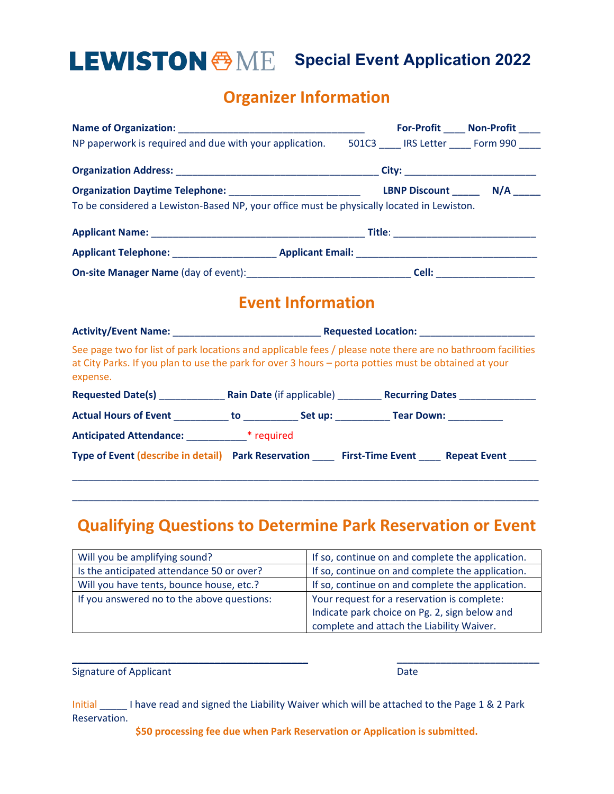# **LEWISTON & ME Special Event Application 2022**

# **Organizer Information**

|                                                                                                                                                                                                                                |                          |  | For-Profit _____ Non-Profit ____ |
|--------------------------------------------------------------------------------------------------------------------------------------------------------------------------------------------------------------------------------|--------------------------|--|----------------------------------|
| NP paperwork is required and due with your application. 501C3 ____ IRS Letter ____ Form 990 ____                                                                                                                               |                          |  |                                  |
|                                                                                                                                                                                                                                |                          |  |                                  |
|                                                                                                                                                                                                                                |                          |  |                                  |
| To be considered a Lewiston-Based NP, your office must be physically located in Lewiston.                                                                                                                                      |                          |  |                                  |
|                                                                                                                                                                                                                                |                          |  |                                  |
|                                                                                                                                                                                                                                |                          |  |                                  |
|                                                                                                                                                                                                                                |                          |  |                                  |
|                                                                                                                                                                                                                                | <b>Event Information</b> |  |                                  |
|                                                                                                                                                                                                                                |                          |  |                                  |
| See page two for list of park locations and applicable fees / please note there are no bathroom facilities<br>at City Parks. If you plan to use the park for over 3 hours - porta potties must be obtained at your<br>expense. |                          |  |                                  |
|                                                                                                                                                                                                                                |                          |  |                                  |
|                                                                                                                                                                                                                                |                          |  |                                  |
| Anticipated Attendance: ______________* required                                                                                                                                                                               |                          |  |                                  |
| Type of Event (describe in detail) Park Reservation ______ First-Time Event _____ Repeat Event _____                                                                                                                           |                          |  |                                  |
|                                                                                                                                                                                                                                |                          |  |                                  |

# **Qualifying Questions to Determine Park Reservation or Event**

\_\_\_\_\_\_\_\_\_\_\_\_\_\_\_\_\_\_\_\_\_\_\_\_\_\_\_\_\_\_\_\_\_\_\_\_\_\_\_\_\_\_\_\_\_\_\_\_\_\_\_\_\_\_\_\_\_\_\_\_\_\_\_\_\_\_\_\_\_\_\_\_\_\_\_\_\_\_\_\_\_\_\_\_\_

| Will you be amplifying sound?              | If so, continue on and complete the application. |
|--------------------------------------------|--------------------------------------------------|
| Is the anticipated attendance 50 or over?  | If so, continue on and complete the application. |
| Will you have tents, bounce house, etc.?   | If so, continue on and complete the application. |
| If you answered no to the above questions: | Your request for a reservation is complete:      |
|                                            | Indicate park choice on Pg. 2, sign below and    |
|                                            | complete and attach the Liability Waiver.        |

**\_\_\_\_\_\_\_\_\_\_\_\_\_\_\_\_\_\_\_\_\_\_\_\_\_\_\_\_\_\_\_\_\_\_\_\_\_\_\_\_\_\_\_ \_\_\_\_\_\_\_\_\_\_\_\_\_\_\_\_\_\_\_\_\_\_\_\_\_\_** 

Signature of Applicant **Date** 

Initial \_\_\_\_\_ I have read and signed the Liability Waiver which will be attached to the Page 1 & 2 Park Reservation.

**\$50 processing fee due when Park Reservation or Application is submitted.**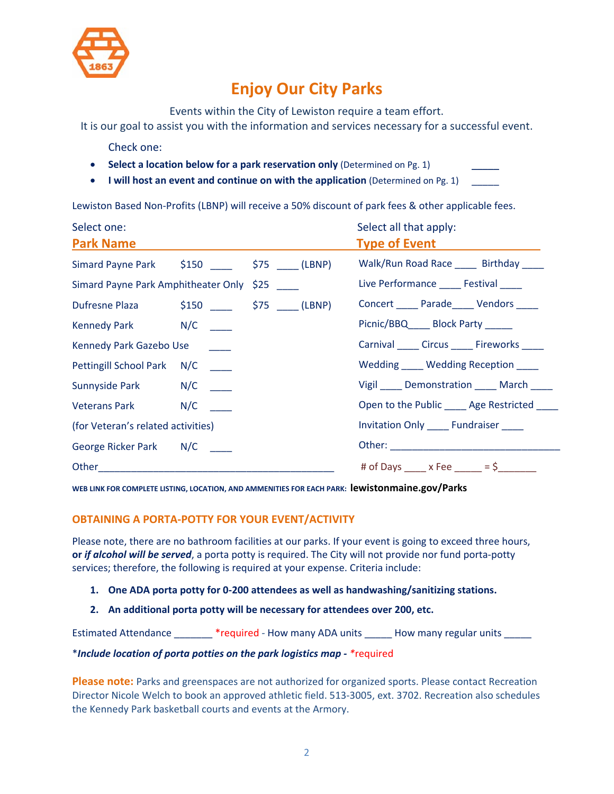

# **Enjoy Our City Parks**

Events within the City of Lewiston require a team effort.

It is our goal to assist you with the information and services necessary for a successful event.

Check one:

- Select a location below for a park reservation only (Determined on Pg. 1)
- **I will host an event and continue on with the application** (Determined on Pg. 1)

Lewiston Based Non‐Profits (LBNP) will receive a 50% discount of park fees & other applicable fees.

| Select one:<br><b>Park Name</b>          |  | Select all that apply:<br><b>Type of Event</b> |
|------------------------------------------|--|------------------------------------------------|
| Simard Payne Park \$150 \$75 (LBNP)      |  | Walk/Run Road Race _____ Birthday ____         |
| Simard Payne Park Amphitheater Only \$25 |  | Live Performance ______ Festival _____         |
| Dufresne Plaza \$150 \$75 (LBNP)         |  | Concert ______ Parade_____ Vendors _____       |
| Kennedy Park N/C                         |  | Picnic/BBQ_____ Block Party _____              |
| Kennedy Park Gazebo Use _____            |  | Carnival ______ Circus ______ Fireworks _____  |
| Pettingill School Park N/C               |  | Wedding ____ Wedding Reception ____            |
| Sunnyside Park N/C                       |  | Vigil _____ Demonstration _____ March _____    |
| Veterans Park N/C                        |  | Open to the Public _____ Age Restricted _____  |
| (for Veteran's related activities)       |  | Invitation Only Fundraiser                     |
| George Ricker Park N/C                   |  |                                                |
|                                          |  | # of Days _____ x Fee _____ = \$_______        |

WEB LINK FOR COMPLETE LISTING, LOCATION, AND AMMENITIES FOR EACH PARK: **lewistonmaine.gov/Parks** 

#### **OBTAINING A PORTA‐POTTY FOR YOUR EVENT/ACTIVITY**

Please note, there are no bathroom facilities at our parks. If your event is going to exceed three hours, **or** *if alcohol will be served*, a porta potty is required. The City will not provide nor fund porta‐potty services; therefore, the following is required at your expense. Criteria include:

- **1. One ADA porta potty for 0‐200 attendees as well as handwashing/sanitizing stations.**
- **2. An additional porta potty will be necessary for attendees over 200, etc.**

Estimated Attendance \_\_\_\_\_\_\_\_ \*required - How many ADA units \_\_\_\_\_\_ How many regular units \_\_\_\_\_

\**Include location of porta potties on the park logistics map ‐ \**required

**Please note:** Parks and greenspaces are not authorized for organized sports. Please contact Recreation Director Nicole Welch to book an approved athletic field. 513‐3005, ext. 3702. Recreation also schedules the Kennedy Park basketball courts and events at the Armory.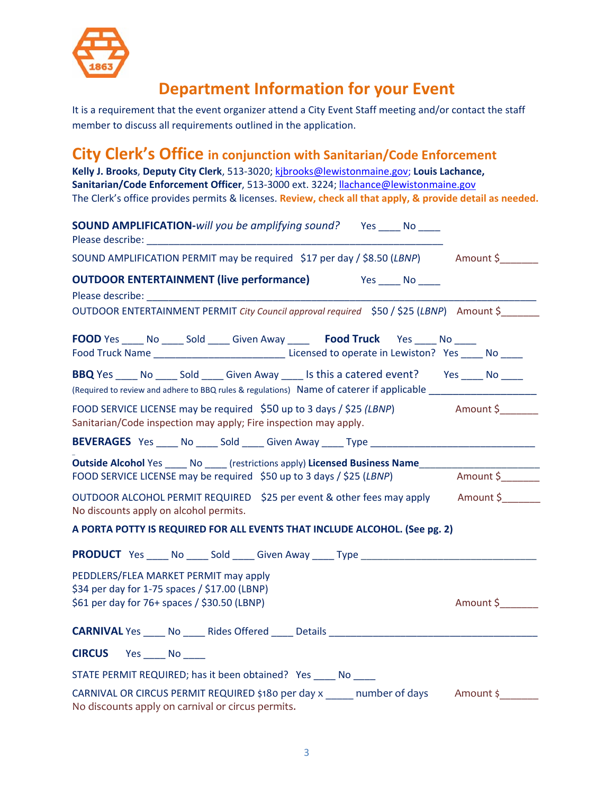

# **Department Information for your Event**

It is a requirement that the event organizer attend a City Event Staff meeting and/or contact the staff member to discuss all requirements outlined in the application.

# **City Clerk's Office in conjunction with Sanitarian/Code Enforcement**

| Kelly J. Brooks, Deputy City Clerk, 513-3020; kibrooks@lewistonmaine.gov; Louis Lachance,                 |
|-----------------------------------------------------------------------------------------------------------|
| Sanitarian/Code Enforcement Officer, 513-3000 ext. 3224; llachance@lewistonmaine.gov                      |
| The Clerk's office provides permits & licenses. Review, check all that apply, & provide detail as needed. |

| <b>SOUND AMPLIFICATION-will you be amplifying sound?</b> Yes ____ No ____                                                                                                                                       |
|-----------------------------------------------------------------------------------------------------------------------------------------------------------------------------------------------------------------|
| SOUND AMPLIFICATION PERMIT may be required \$17 per day / \$8.50 (LBNP) Amount \$                                                                                                                               |
| <b>OUTDOOR ENTERTAINMENT (live performance)</b> Yes ____ No ____<br>OUTDOOR ENTERTAINMENT PERMIT City Council approval required \$50 / \$25 (LBNP) Amount \$                                                    |
| FOOD Yes _____ No _____ Sold _____ Given Away _____ Food Truck Yes _____ No ____                                                                                                                                |
| BBQ Yes _____ No _____ Sold _____ Given Away _____ Is this a catered event? Yes _____ No ____<br>(Required to review and adhere to BBQ rules & regulations) Name of caterer if applicable _____________________ |
| FOOD SERVICE LICENSE may be required \$50 up to 3 days / \$25 (LBNP) Amount \$<br>Sanitarian/Code inspection may apply; Fire inspection may apply.                                                              |
|                                                                                                                                                                                                                 |
| Outside Alcohol Yes _____ No _____ (restrictions apply) Licensed Business Name______________________<br>FOOD SERVICE LICENSE may be required \$50 up to 3 days / \$25 (LBNP) Amount \$                          |
| OUTDOOR ALCOHOL PERMIT REQUIRED \$25 per event & other fees may apply Amount \$<br>No discounts apply on alcohol permits.                                                                                       |
| A PORTA POTTY IS REQUIRED FOR ALL EVENTS THAT INCLUDE ALCOHOL. (See pg. 2)                                                                                                                                      |
|                                                                                                                                                                                                                 |
| PEDDLERS/FLEA MARKET PERMIT may apply<br>\$34 per day for 1-75 spaces / \$17.00 (LBNP)<br>Amount \$<br>\$61 per day for 76+ spaces / \$30.50 (LBNP)                                                             |
|                                                                                                                                                                                                                 |
| <b>CIRCUS</b> Yes No                                                                                                                                                                                            |
| STATE PERMIT REQUIRED; has it been obtained? Yes No                                                                                                                                                             |
| CARNIVAL OR CIRCUS PERMIT REQUIRED \$180 per day x mumber of days Amount \$<br>No discounts apply on carnival or circus permits.                                                                                |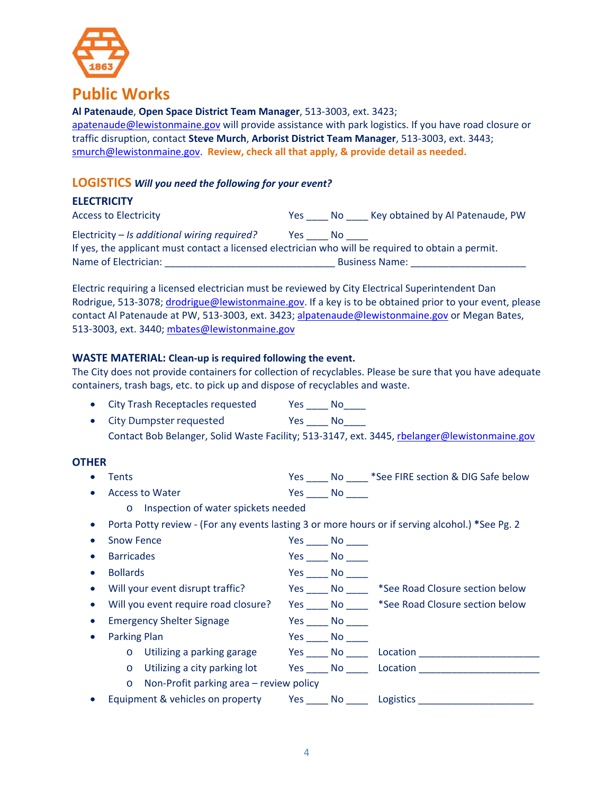

### **Public Works**

**Al Patenaude**, **Open Space District Team Manager**, 513‐3003, ext. 3423; apatenaude@lewistonmaine.gov will provide assistance with park logistics. If you have road closure or traffic disruption, contact **Steve Murch**, **Arborist District Team Manager**, 513‐3003, ext. 3443; smurch@lewistonmaine.gov. **Review, check all that apply, & provide detail as needed.**

#### **LOGISTICS** *Will you need the following for your event?*

#### **ELECTRICITY**

| <b>Access to Electricity</b>                                                                       | Yes. | Key obtained by Al Patenaude, PW<br>No. |
|----------------------------------------------------------------------------------------------------|------|-----------------------------------------|
| Electricity $-$ Is additional wiring required?                                                     | Yes  | No.                                     |
| If yes, the applicant must contact a licensed electrician who will be required to obtain a permit. |      |                                         |
| Name of Electrician:                                                                               |      | <b>Business Name:</b>                   |

Electric requiring a licensed electrician must be reviewed by City Electrical Superintendent Dan Rodrigue, 513-3078; drodrigue@lewistonmaine.gov. If a key is to be obtained prior to your event, please contact Al Patenaude at PW, 513-3003, ext. 3423; alpatenaude@lewistonmaine.gov or Megan Bates, 513‐3003, ext. 3440; mbates@lewistonmaine.gov

#### **WASTE MATERIAL: Clean‐up is required following the event.**

The City does not provide containers for collection of recyclables. Please be sure that you have adequate containers, trash bags, etc. to pick up and dispose of recyclables and waste.

- City Trash Receptacles requested Yes \_\_\_\_ No\_\_\_\_
- City Dumpster requested Yes \_\_\_\_ No\_\_\_\_ Contact Bob Belanger, Solid Waste Facility; 513‐3147, ext. 3445, rbelanger@lewistonmaine.gov

#### **OTHER**

- Tents Yes \_\_\_\_ No \_\_\_\_ \*See FIRE section & DIG Safe below • Access to Water The Mesizon Changes are No Linux Ves No Linux Ves No Linux Ves No Linux Ves No Linux Ves No Linux Ves No Linux Ves No Linux Ves No Linux Ves No Linux Ves No Linux Ves No Linux Ves No Linux Ves No Linux Ve
	- o Inspection of water spickets needed
- Porta Potty review ‐ (For any events lasting 3 or more hours or if serving alcohol.) **\***See Pg. 2
- Snow Fence Yes No Luis No Luis No Luis No Luis No Luis No Luis No Luis No Luis No Luis No Luis No Luis No Luis No Luis No Luis No Luis No Luis No Luis No Luis No Luis No Luis No Luis No Luis No Luis No Luis No Luis No Lu
- Barricades Yes \_\_\_\_ No \_\_\_\_ Bollards Yes \_\_\_\_ No \_\_\_\_ Will your event disrupt traffic? Yes \_\_\_\_ No \_\_\_\_ \*See Road Closure section below • Will you event require road closure? Yes \_\_\_\_ No \_\_\_\_\_ \*See Road Closure section below • Emergency Shelter Signage The Mescule No Montage No Montage Shelter Signage No Montage No Montage • Parking Plan **by Call Contact Contact Property** Parking Plan o Utilizing a parking garage Yes \_\_\_\_ No \_\_\_\_ Location \_\_\_\_\_\_\_\_\_\_\_\_\_\_\_\_\_\_\_\_\_\_\_\_\_ o Utilizing a city parking lot Yes No Location o Non‐Profit parking area – review policy Equipment & vehicles on property Yes \_\_\_\_ No \_\_\_\_ Logistics \_\_\_\_\_\_\_\_\_\_\_\_\_\_\_\_\_\_\_\_
	- 4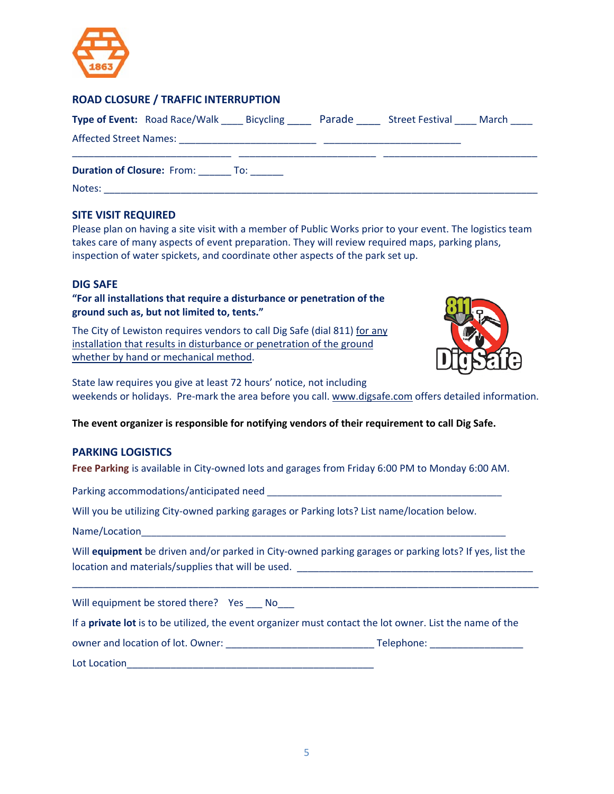

#### **ROAD CLOSURE / TRAFFIC INTERRUPTION**

| <b>Type of Event:</b> Road Race/Walk Bicycling Parade Street Festival March |  |  |
|-----------------------------------------------------------------------------|--|--|
|                                                                             |  |  |
| <b>Duration of Closure:</b> From: To:                                       |  |  |
| Notes:                                                                      |  |  |

#### **SITE VISIT REQUIRED**

Please plan on having a site visit with a member of Public Works prior to your event. The logistics team takes care of many aspects of event preparation. They will review required maps, parking plans, inspection of water spickets, and coordinate other aspects of the park set up.

#### **DIG SAFE**

**"For all installations that require a disturbance or penetration of the ground such as, but not limited to, tents."** 

The City of Lewiston requires vendors to call Dig Safe (dial 811) for any installation that results in disturbance or penetration of the ground whether by hand or mechanical method.



State law requires you give at least 72 hours' notice, not including weekends or holidays. Pre-mark the area before you call. www.digsafe.com offers detailed information.

**The event organizer is responsible for notifying vendors of their requirement to call Dig Safe.** 

#### **PARKING LOGISTICS**

Free Parking is available in City-owned lots and garages from Friday 6:00 PM to Monday 6:00 AM.

Parking accommodations/anticipated need **EXACTER** 

Will you be utilizing City-owned parking garages or Parking lots? List name/location below.

Name/Location

Will **equipment** be driven and/or parked in City-owned parking garages or parking lots? If yes, list the location and materials/supplies that will be used. *\_\_\_\_\_\_\_\_\_\_\_\_\_\_\_\_\_\_\_\_\_\_\_\_\_\_\_\_\_* 

\_\_\_\_\_\_\_\_\_\_\_\_\_\_\_\_\_\_\_\_\_\_\_\_\_\_\_\_\_\_\_\_\_\_\_\_\_\_\_\_\_\_\_\_\_\_\_\_\_\_\_\_\_\_\_\_\_\_\_\_\_\_\_\_\_\_\_\_\_\_\_\_\_\_\_\_\_\_\_\_\_\_\_\_\_

Will equipment be stored there? Yes \_\_\_ No\_\_\_

If a **private lot** is to be utilized, the event organizer must contact the lot owner. List the name of the

owner and location of lot. Owner: \_\_\_\_\_\_\_\_\_\_\_\_\_\_\_\_\_\_\_\_\_\_\_\_\_\_\_ Telephone: \_\_\_\_\_\_\_\_\_\_\_\_\_\_\_\_\_

Lot Location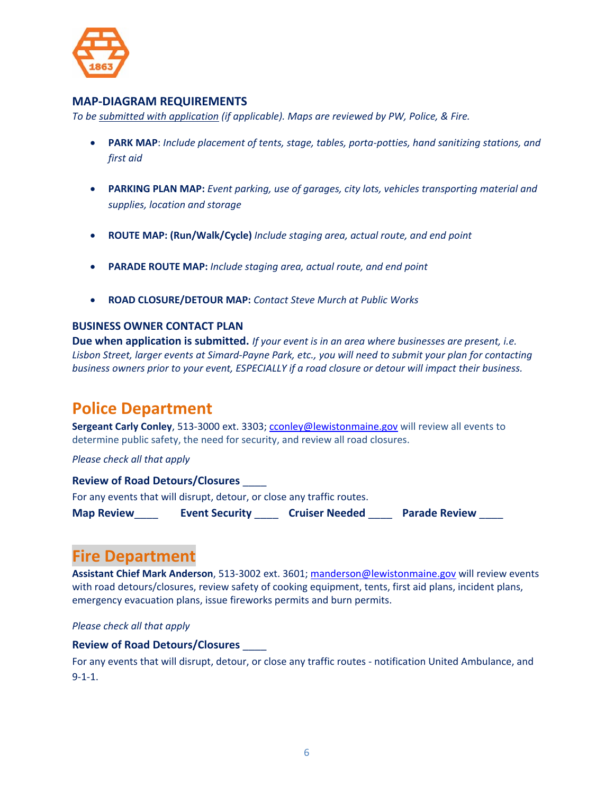

#### **MAP-DIAGRAM REQUIREMENTS**

*To be submitted with application (if applicable). Maps are reviewed by PW, Police, & Fire.*

- PARK MAP: *Include placement of tents, stage, tables, porta-potties, hand sanitizing stations, and first aid*
- **PARKING PLAN MAP:** *Event parking, use of garages, city lots, vehicles transporting material and supplies, location and storage*
- **ROUTE MAP: (Run/Walk/Cycle)** *Include staging area, actual route, and end point*
- **PARADE ROUTE MAP:** *Include staging area, actual route, and end point*
- **ROAD CLOSURE/DETOUR MAP:** *Contact Steve Murch at Public Works*

#### **BUSINESS OWNER CONTACT PLAN**

**Due when application is submitted.** *If your event is in an area where businesses are present, i.e. Lisbon Street, larger events at Simard‐Payne Park, etc., you will need to submit your plan for contacting business owners prior to your event, ESPECIALLY if a road closure or detour will impact their business.*

### **Police Department**

**Sergeant Carly Conley**, 513‐3000 ext. 3303; cconley@lewistonmaine.gov will review all events to determine public safety, the need for security, and review all road closures.

*Please check all that apply* 

**Review of Road Detours/Closures** \_\_\_\_ For any events that will disrupt, detour, or close any traffic routes. **Map Review**\_\_\_\_ **Event Security** \_\_\_\_ **Cruiser Needed** \_\_\_\_ **Parade Review** \_\_\_\_

### **Fire Department**

**Assistant Chief Mark Anderson**, 513‐3002 ext. 3601; manderson@lewistonmaine.gov will review events with road detours/closures, review safety of cooking equipment, tents, first aid plans, incident plans, emergency evacuation plans, issue fireworks permits and burn permits.

*Please check all that apply* 

#### **Review of Road Detours/Closures** \_\_\_\_

For any events that will disrupt, detour, or close any traffic routes ‐ notification United Ambulance, and  $9 - 1 - 1$ .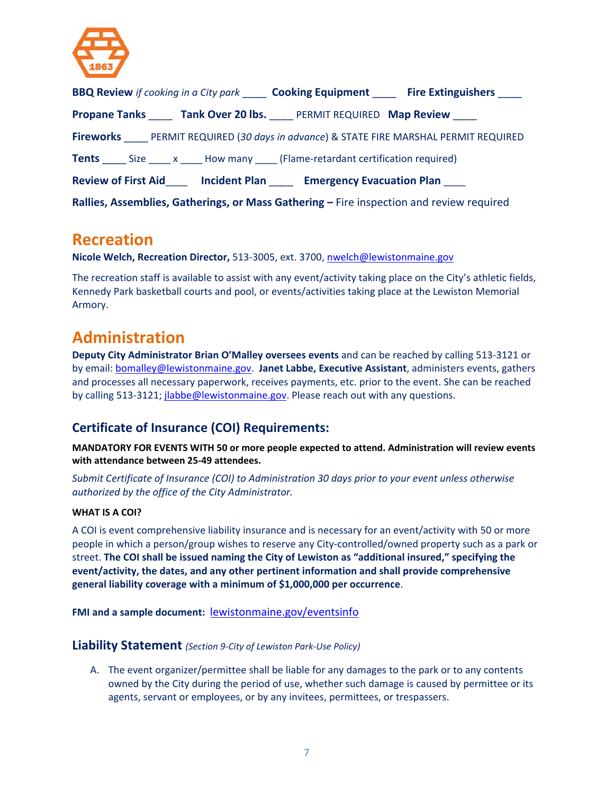

| <b>BBQ Review</b> if cooking in a City park <b>Cooking Equipment Fire Extinguishers</b>  |
|------------------------------------------------------------------------------------------|
| <b>Propane Tanks Tank Over 20 lbs.</b> PERMIT REQUIRED Map Review                        |
| Fireworks PERMIT REQUIRED (30 days in advance) & STATE FIRE MARSHAL PERMIT REQUIRED      |
|                                                                                          |
| Review of First Aid Muslim Collect Plan Muslim Emergency Evacuation Plan                 |
| Rallies, Assemblies, Gatherings, or Mass Gathering - Fire inspection and review required |

### **Recreation**

**Nicole Welch, Recreation Director,** 513‐3005, ext. 3700, nwelch@lewistonmaine.gov

The recreation staff is available to assist with any event/activity taking place on the City's athletic fields, Kennedy Park basketball courts and pool, or events/activities taking place at the Lewiston Memorial Armory.

### **Administration**

**Deputy City Administrator Brian O'Malley oversees events** and can be reached by calling 513‐3121 or by email: bomalley@lewistonmaine.gov. **Janet Labbe, Executive Assistant**, administers events, gathers and processes all necessary paperwork, receives payments, etc. prior to the event. She can be reached by calling 513-3121; jlabbe@lewistonmaine.gov. Please reach out with any questions.

#### Certificate of Insurance (COI) Requirements:

**MANDATORY FOR EVENTS WITH 50 or more people expected to attend. Administration will review events with attendance between 25‐49 attendees.**

*Submit Certificate of Insurance (COI) to Administration 30 days prior to your event unless otherwise authorized by the office of the City Administrator.*

#### **WHAT IS A COI?**

A COI is event comprehensive liability insurance and is necessary for an event/activity with 50 or more people in which a person/group wishes to reserve any City‐controlled/owned property such as a park or street. **The COI shall be issued naming the City of Lewiston as "additional insured," specifying the event/activity, the dates, and any other pertinent information and shall provide comprehensive general liability coverage with a minimum of \$1,000,000 per occurrence**.

FMI and a sample document: **lewistonmaine.gov/eventsinfo** 

#### **Liability Statement** *(Section 9‐City of Lewiston Park‐Use Policy)*

A. The event organizer/permittee shall be liable for any damages to the park or to any contents owned by the City during the period of use, whether such damage is caused by permittee or its agents, servant or employees, or by any invitees, permittees, or trespassers.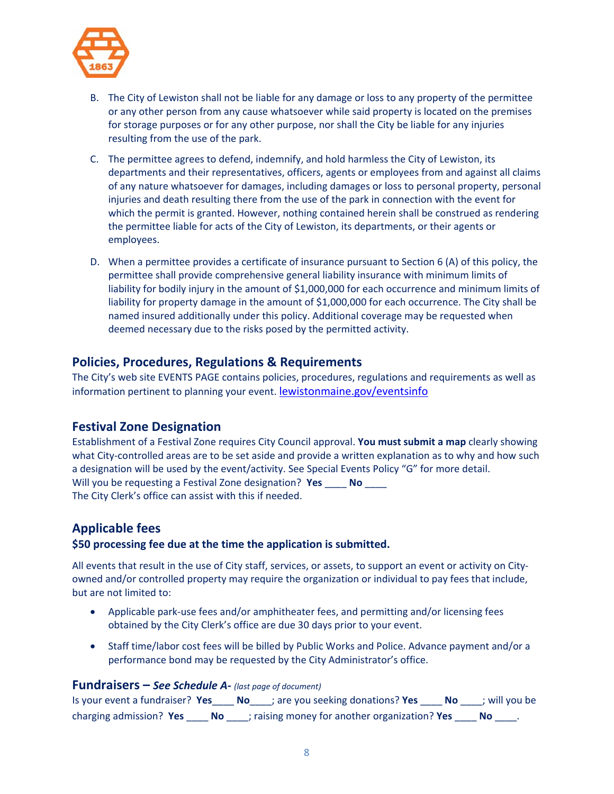

- B. The City of Lewiston shall not be liable for any damage or loss to any property of the permittee or any other person from any cause whatsoever while said property is located on the premises for storage purposes or for any other purpose, nor shall the City be liable for any injuries resulting from the use of the park.
- C. The permittee agrees to defend, indemnify, and hold harmless the City of Lewiston, its departments and their representatives, officers, agents or employees from and against all claims of any nature whatsoever for damages, including damages or loss to personal property, personal injuries and death resulting there from the use of the park in connection with the event for which the permit is granted. However, nothing contained herein shall be construed as rendering the permittee liable for acts of the City of Lewiston, its departments, or their agents or employees.
- D. When a permittee provides a certificate of insurance pursuant to Section 6 (A) of this policy, the permittee shall provide comprehensive general liability insurance with minimum limits of liability for bodily injury in the amount of \$1,000,000 for each occurrence and minimum limits of liability for property damage in the amount of \$1,000,000 for each occurrence. The City shall be named insured additionally under this policy. Additional coverage may be requested when deemed necessary due to the risks posed by the permitted activity.

#### Policies, Procedures, Regulations & Requirements

The City's web site EVENTS PAGE contains policies, procedures, regulations and requirements as well as information pertinent to planning your event. lewistonmaine.gov/eventsinfo

#### **Festival Zone Designation**

Establishment of a Festival Zone requires City Council approval. **You must submit a map** clearly showing what City-controlled areas are to be set aside and provide a written explanation as to why and how such a designation will be used by the event/activity. See Special Events Policy "G" for more detail. Will you be requesting a Festival Zone designation? **Yes** \_\_\_\_ **No** \_\_\_\_ The City Clerk's office can assist with this if needed.

#### **Applicable fees**

#### **\$50 processing fee due at the time the application is submitted.**

All events that result in the use of City staff, services, or assets, to support an event or activity on City‐ owned and/or controlled property may require the organization or individual to pay fees that include, but are not limited to:

- Applicable park-use fees and/or amphitheater fees, and permitting and/or licensing fees obtained by the City Clerk's office are due 30 days prior to your event.
- Staff time/labor cost fees will be billed by Public Works and Police. Advance payment and/or a performance bond may be requested by the City Administrator's office.

#### **Fundraisers –** *See Schedule A‐ (last page of document)*

| Is your event a fundraiser? Yes |      | No l | ; are you seeking donations? Yes              | <b>No</b> | ; will you be |
|---------------------------------|------|------|-----------------------------------------------|-----------|---------------|
| charging admission? Yes         | - No |      | ; raising money for another organization? Yes |           |               |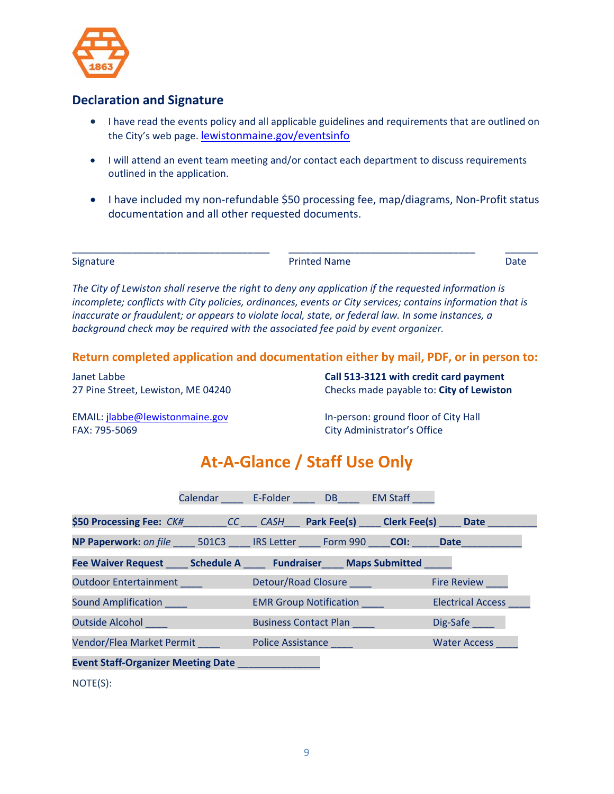

#### **Declaration and Signature**

- I have read the events policy and all applicable guidelines and requirements that are outlined on the City's web page. lewistonmaine.gov/eventsinfo
- I will attend an event team meeting and/or contact each department to discuss requirements outlined in the application.
- I have included my non-refundable \$50 processing fee, map/diagrams, Non-Profit status documentation and all other requested documents.

|  | Signature |  |
|--|-----------|--|
|  |           |  |

Printed Name **Date** 

*The City of Lewiston shall reserve the right to deny any application if the requested information is incomplete; conflicts with City policies, ordinances, events or City services; contains information that is inaccurate or fraudulent; or appears to violate local, state, or federal law. In some instances, a background check may be required with the associated fee paid by event organizer.* 

\_\_\_\_\_\_\_\_\_\_\_\_\_\_\_\_\_\_\_\_\_\_\_\_\_\_\_\_\_\_\_\_\_\_\_\_ \_\_\_\_\_\_\_\_\_\_\_\_\_\_\_\_\_\_\_\_\_\_\_\_\_\_\_\_\_\_\_\_\_\_ \_\_\_\_\_\_

#### Return completed application and documentation either by mail, PDF, or in person to:

Janet Labbe **Call 513‐3121 with credit card payment** 27 Pine Street, Lewiston, ME 04240 Checks made payable to: **City of Lewiston** 

FAX: 795‐5069 City Administrator's Office

EMAIL: jlabbe@lewistonmaine.gov In‐person: ground floor of City Hall

# **At‐A‐Glance / Staff Use Only**

|                                                                                                                                                                                                                                      | Calendar E-Folder DB EM Staff |                                                           |                          |
|--------------------------------------------------------------------------------------------------------------------------------------------------------------------------------------------------------------------------------------|-------------------------------|-----------------------------------------------------------|--------------------------|
| \$50 Processing Fee: CK# CC CASH Park Fee(s) Clerk Fee(s) Date                                                                                                                                                                       |                               |                                                           |                          |
| NP Paperwork: on file 501C3 IRS Letter Form 990 COI: Date                                                                                                                                                                            |                               |                                                           |                          |
| Fee Waiver Request Schedule A Fundraiser Maps Submitted                                                                                                                                                                              |                               |                                                           |                          |
|                                                                                                                                                                                                                                      |                               | Detour/Road Closure <b>Contains the Contract Oriental</b> | Fire Review              |
| <b>Sound Amplification Sound Amplification</b>                                                                                                                                                                                       |                               | <b>EMR Group Notification EMR</b> Group Notification      | <b>Electrical Access</b> |
| Outside Alcohol <b>Contract Contract Contract Contract Contract Contract Contract Contract Contract Contract Contract Contract Contract Contract Contract Contract Contract Contract Contract Contract Contract Contract Contrac</b> |                               | <b>Business Contact Plan</b>                              | Dig-Safe                 |
| Vendor/Flea Market Permit Police Assistance                                                                                                                                                                                          |                               |                                                           | <b>Water Access</b>      |
| <b>Event Staff-Organizer Meeting Date</b>                                                                                                                                                                                            |                               |                                                           |                          |
|                                                                                                                                                                                                                                      |                               |                                                           |                          |

NOTE(S):